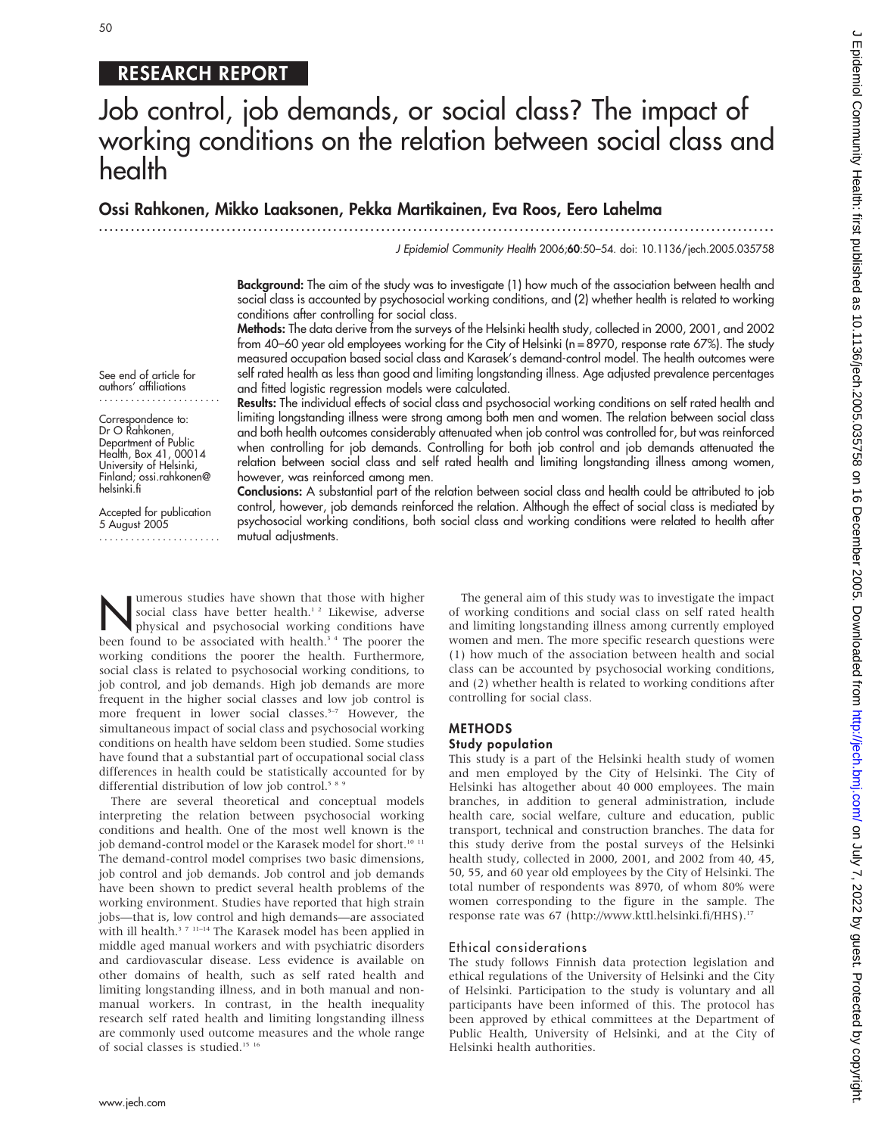# 50

# RESEARCH REPORT

# Job control, job demands, or social class? The impact of working conditions on the relation between social class and health

# Ossi Rahkonen, Mikko Laaksonen, Pekka Martikainen, Eva Roos, Eero Lahelma

...............................................................................................................................

J Epidemiol Community Health 2006;60:50–54. doi: 10.1136/jech.2005.035758

Background: The aim of the study was to investigate (1) how much of the association between health and social class is accounted by psychosocial working conditions, and (2) whether health is related to working conditions after controlling for social class.

Methods: The data derive from the surveys of the Helsinki health study, collected in 2000, 2001, and 2002 from 40–60 year old employees working for the City of Helsinki (n = 8970, response rate 67%). The study measured occupation based social class and Karasek's demand-control model. The health outcomes were self rated health as less than good and limiting longstanding illness. Age adjusted prevalence percentages and fitted logistic regression models were calculated.

See end of article for authors' affiliations .......................

Correspondence to: Dr O Rahkonen, Department of Public Health, Box 41, 00014 University of Helsinki, Finland; ossi.rahkonen@ helsinki.fi

Accepted for publication 5 August 2005

.......................

Results: The individual effects of social class and psychosocial working conditions on self rated health and limiting longstanding illness were strong among both men and women. The relation between social class and both health outcomes considerably attenuated when job control was controlled for, but was reinforced when controlling for job demands. Controlling for both job control and job demands attenuated the relation between social class and self rated health and limiting longstanding illness among women, however, was reinforced among men.

Conclusions: A substantial part of the relation between social class and health could be attributed to job control, however, job demands reinforced the relation. Although the effect of social class is mediated by psychosocial working conditions, both social class and working conditions were related to health after mutual adjustments.

Numerous studies have shown that those with higher<br>social class have better health.<sup>1,2</sup> Likewise, adverse<br>physical and psychosocial working conditions have social class have better health.<sup>12</sup> Likewise, adverse physical and psychosocial working conditions have been found to be associated with health.<sup>34</sup> The poorer the working conditions the poorer the health. Furthermore, social class is related to psychosocial working conditions, to job control, and job demands. High job demands are more frequent in the higher social classes and low job control is more frequent in lower social classes.<sup>5-7</sup> However, the simultaneous impact of social class and psychosocial working conditions on health have seldom been studied. Some studies have found that a substantial part of occupational social class differences in health could be statistically accounted for by differential distribution of low job control.<sup>58</sup>

There are several theoretical and conceptual models interpreting the relation between psychosocial working conditions and health. One of the most well known is the job demand-control model or the Karasek model for short.<sup>10 11</sup> The demand-control model comprises two basic dimensions, job control and job demands. Job control and job demands have been shown to predict several health problems of the working environment. Studies have reported that high strain jobs—that is, low control and high demands—are associated with ill health.<sup>3 7 11–14</sup> The Karasek model has been applied in middle aged manual workers and with psychiatric disorders and cardiovascular disease. Less evidence is available on other domains of health, such as self rated health and limiting longstanding illness, and in both manual and nonmanual workers. In contrast, in the health inequality research self rated health and limiting longstanding illness are commonly used outcome measures and the whole range of social classes is studied.<sup>15 16</sup>

www.jech.com

The general aim of this study was to investigate the impact of working conditions and social class on self rated health and limiting longstanding illness among currently employed women and men. The more specific research questions were (1) how much of the association between health and social class can be accounted by psychosocial working conditions, and (2) whether health is related to working conditions after controlling for social class.

#### METHODS Study population

This study is a part of the Helsinki health study of women and men employed by the City of Helsinki. The City of Helsinki has altogether about 40 000 employees. The main branches, in addition to general administration, include health care, social welfare, culture and education, public transport, technical and construction branches. The data for this study derive from the postal surveys of the Helsinki health study, collected in 2000, 2001, and 2002 from 40, 45, 50, 55, and 60 year old employees by the City of Helsinki. The total number of respondents was 8970, of whom 80% were women corresponding to the figure in the sample. The response rate was 67 (http://www.kttl.helsinki.fi/HHS).<sup>17</sup>

#### Ethical considerations

The study follows Finnish data protection legislation and ethical regulations of the University of Helsinki and the City of Helsinki. Participation to the study is voluntary and all participants have been informed of this. The protocol has been approved by ethical committees at the Department of Public Health, University of Helsinki, and at the City of Helsinki health authorities.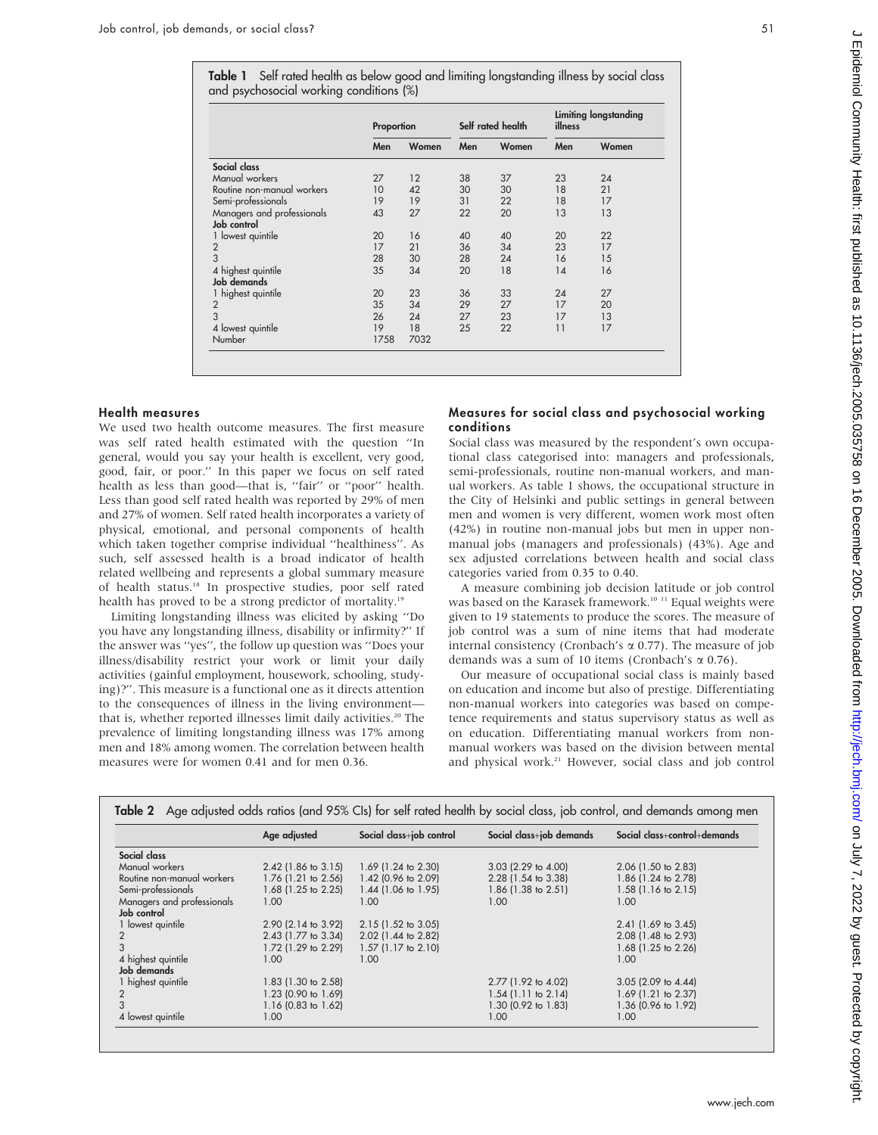Table 1 Self rated health as below good and limiting longstanding illness by social class and psychosocial working conditions (%)

|                                           | Proportion |       | Self rated health |       | <b>Limiting longstanding</b><br>illness |       |
|-------------------------------------------|------------|-------|-------------------|-------|-----------------------------------------|-------|
|                                           | Men        | Women | Men               | Women | Men                                     | Women |
| Social class                              |            |       |                   |       |                                         |       |
| Manual workers                            | 27         | 12    | 38                | 37    | 23                                      | 24    |
| Routine non-manual workers                | 10         | 42    | 30                | 30    | 18                                      | 21    |
| Semi-professionals                        | 19         | 19    | 31                | 22    | 18                                      | 17    |
| Managers and professionals<br>Job control | 43         | 27    | 22                | 20    | 13                                      | 13    |
| 1 lowest quintile                         | 20         | 16    | 40                | 40    | 20                                      | 22    |
|                                           | 17         | 21    | 36                | 34    | 23                                      | 17    |
| $\frac{2}{3}$                             | 28         | 30    | 28                | 24    | 16                                      | 15    |
| 4 highest quintile<br>Job demands         | 35         | 34    | 20                | 18    | 14                                      | 16    |
| 1 highest quintile                        | 20         | 23    | 36                | 33    | 24                                      | 27    |
| $\overline{2}$                            | 35         | 34    | 29                | 27    | 17                                      | 20    |
| 3                                         | 26         | 24    | 27                | 23    | 17                                      | 13    |
| 4 lowest quintile                         | 19         | 18    | 25                | 22    | 11                                      | 17    |
| Number                                    | 1758       | 7032  |                   |       |                                         |       |

## Health measures

We used two health outcome measures. The first measure was self rated health estimated with the question ''In general, would you say your health is excellent, very good, good, fair, or poor.'' In this paper we focus on self rated health as less than good—that is, ''fair'' or ''poor'' health. Less than good self rated health was reported by 29% of men and 27% of women. Self rated health incorporates a variety of physical, emotional, and personal components of health which taken together comprise individual ''healthiness''. As such, self assessed health is a broad indicator of health related wellbeing and represents a global summary measure of health status.18 In prospective studies, poor self rated health has proved to be a strong predictor of mortality.<sup>19</sup>

Limiting longstanding illness was elicited by asking ''Do you have any longstanding illness, disability or infirmity?'' If the answer was ''yes'', the follow up question was ''Does your illness/disability restrict your work or limit your daily activities (gainful employment, housework, schooling, studying)?''. This measure is a functional one as it directs attention to the consequences of illness in the living environment that is, whether reported illnesses limit daily activities.<sup>20</sup> The prevalence of limiting longstanding illness was 17% among men and 18% among women. The correlation between health measures were for women 0.41 and for men 0.36.

### Measures for social class and psychosocial working conditions

Social class was measured by the respondent's own occupational class categorised into: managers and professionals, semi-professionals, routine non-manual workers, and manual workers. As table 1 shows, the occupational structure in the City of Helsinki and public settings in general between men and women is very different, women work most often (42%) in routine non-manual jobs but men in upper nonmanual jobs (managers and professionals) (43%). Age and sex adjusted correlations between health and social class categories varied from 0.35 to 0.40.

A measure combining job decision latitude or job control was based on the Karasek framework.<sup>10 11</sup> Equal weights were given to 19 statements to produce the scores. The measure of job control was a sum of nine items that had moderate internal consistency (Cronbach's  $\alpha$  0.77). The measure of job demands was a sum of 10 items (Cronbach's  $\alpha$  0.76).

Our measure of occupational social class is mainly based on education and income but also of prestige. Differentiating non-manual workers into categories was based on competence requirements and status supervisory status as well as on education. Differentiating manual workers from nonmanual workers was based on the division between mental and physical work.<sup>21</sup> However, social class and job control

|                            | Age adjusted          | Social class+job control      | Social class+job demands | Social class+control+demands |
|----------------------------|-----------------------|-------------------------------|--------------------------|------------------------------|
| Social class               |                       |                               |                          |                              |
| Manual workers             | $2.42$ (1.86 to 3.15) | $1.69$ (1.24 to 2.30)         | $3.03$ (2.29 to 4.00)    | $2.06$ (1.50 to 2.83)        |
| Routine non-manual workers | $1.76$ (1.21 to 2.56) | $1.42$ (0.96 to 2.09)         | 2.28 (1.54 to 3.38)      | 1.86 (1.24 to 2.78)          |
| Semi-professionals         | 1.68 (1.25 to 2.25)   | 1.44 (1.06 to 1.95)           | 1.86 (1.38 to 2.51)      | $1.58$ (1.16 to 2.15)        |
| Managers and professionals | 1.00                  | 1.00                          | 1.00                     | 1.00                         |
| Job control                |                       |                               |                          |                              |
| 1 lowest quintile          | 2.90 (2.14 to 3.92)   | $2.15(1.52 \text{ to } 3.05)$ |                          | $2.41$ (1.69 to 3.45)        |
|                            | 2.43 (1.77 to 3.34)   | 2.02 (1.44 to 2.82)           |                          | 2.08 (1.48 to 2.93)          |
| 3                          | 1.72 (1.29 to 2.29)   | $1.57$ (1.17 to 2.10)         |                          | 1.68 (1.25 to 2.26)          |
| 4 highest quintile         | 1.00                  | 1.00                          |                          | 1.00                         |
| Job demands                |                       |                               |                          |                              |
| 1 highest quintile         | 1.83 (1.30 to 2.58)   |                               | 2.77 (1.92 to 4.02)      | $3.05$ (2.09 to 4.44)        |
|                            | 1.23 (0.90 to 1.69)   |                               | $1.54$ (1.11 to 2.14)    | 1.69 (1.21 to 2.37)          |
|                            | 1.16 (0.83 to 1.62)   |                               | 1.30 (0.92 to 1.83)      | 1.36 (0.96 to 1.92)          |
| 4 lowest quintile          | 1.00                  |                               | 1.00                     | 1.00 <sub>1</sub>            |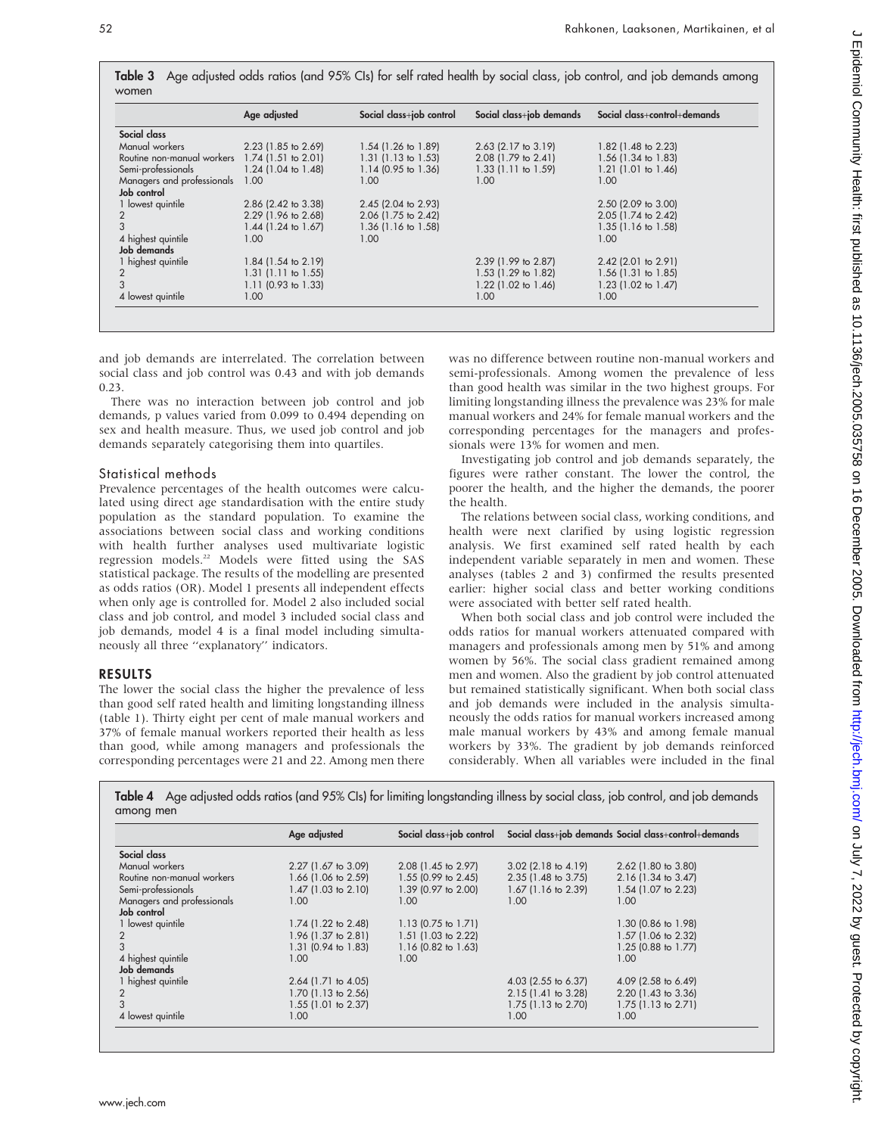|                            | Age adjusted             | Social class+job control | Social class+job demands | Social class+control+demands |
|----------------------------|--------------------------|--------------------------|--------------------------|------------------------------|
| Social class               |                          |                          |                          |                              |
| Manual workers             | 2.23 (1.85 to 2.69)      | 1.54 (1.26 to 1.89)      | $2.63$ (2.17 to 3.19)    | 1.82 (1.48 to 2.23)          |
| Routine non-manual workers | $1.74$ (1.51 to 2.01)    | $1.31$ (1.13 to 1.53)    | 2.08 (1.79 to 2.41)      | 1.56 (1.34 to 1.83)          |
| Semi-professionals         | $1.24$ (1.04 to 1.48)    | $1.14$ (0.95 to 1.36)    | 1.33 (1.11 to 1.59)      | 1.21 (1.01 to 1.46)          |
| Managers and professionals | 1.00                     | 1.00                     | 1.00                     | 1.00                         |
| Job control                |                          |                          |                          |                              |
| 1 lowest quintile          | 2.86 (2.42 to 3.38)      | 2.45 (2.04 to 2.93)      |                          | 2.50 (2.09 to 3.00)          |
| 2                          | $2.29$ (1.96 to $2.68$ ) | 2.06 (1.75 to 2.42)      |                          | 2.05 (1.74 to 2.42)          |
| 3                          | 1.44 (1.24 to 1.67)      | $1.36$ (1.16 to 1.58)    |                          | 1.35 (1.16 to 1.58)          |
| 4 highest quintile         | 1.00                     | 1.00                     |                          | 1.00                         |
| Job demands                |                          |                          |                          |                              |
| 1 highest quintile         | 1.84 (1.54 to 2.19)      |                          | 2.39 (1.99 to 2.87)      | $2.42$ (2.01 to 2.91)        |
| $\overline{2}$             | $1.31$ (1.11 to 1.55)    |                          | 1.53 (1.29 to 1.82)      | 1.56 (1.31 to 1.85)          |
|                            | $1.11$ (0.93 to 1.33)    |                          | 1.22 (1.02 to 1.46)      | 1.23 (1.02 to 1.47)          |
| 4 lowest quintile          | 1.00                     |                          | 1.00 <sub>1</sub>        | 1.00                         |

Table 3 Age adjusted odds ratios (and 95% CIs) for self rated health by social class, job control, and job demands among

and job demands are interrelated. The correlation between social class and job control was 0.43 and with job demands 0.23.

There was no interaction between job control and job demands, p values varied from 0.099 to 0.494 depending on sex and health measure. Thus, we used job control and job demands separately categorising them into quartiles.

## Statistical methods

Prevalence percentages of the health outcomes were calculated using direct age standardisation with the entire study population as the standard population. To examine the associations between social class and working conditions with health further analyses used multivariate logistic regression models.22 Models were fitted using the SAS statistical package. The results of the modelling are presented as odds ratios (OR). Model 1 presents all independent effects when only age is controlled for. Model 2 also included social class and job control, and model 3 included social class and job demands, model 4 is a final model including simultaneously all three ''explanatory'' indicators.

# RESULTS

The lower the social class the higher the prevalence of less than good self rated health and limiting longstanding illness (table 1). Thirty eight per cent of male manual workers and 37% of female manual workers reported their health as less than good, while among managers and professionals the corresponding percentages were 21 and 22. Among men there was no difference between routine non-manual workers and semi-professionals. Among women the prevalence of less than good health was similar in the two highest groups. For limiting longstanding illness the prevalence was 23% for male manual workers and 24% for female manual workers and the corresponding percentages for the managers and professionals were 13% for women and men.

Investigating job control and job demands separately, the figures were rather constant. The lower the control, the poorer the health, and the higher the demands, the poorer the health.

The relations between social class, working conditions, and health were next clarified by using logistic regression analysis. We first examined self rated health by each independent variable separately in men and women. These analyses (tables 2 and 3) confirmed the results presented earlier: higher social class and better working conditions were associated with better self rated health.

When both social class and job control were included the odds ratios for manual workers attenuated compared with managers and professionals among men by 51% and among women by 56%. The social class gradient remained among men and women. Also the gradient by job control attenuated but remained statistically significant. When both social class and job demands were included in the analysis simultaneously the odds ratios for manual workers increased among male manual workers by 43% and among female manual workers by 33%. The gradient by job demands reinforced considerably. When all variables were included in the final

Table 4 Age adjusted odds ratios (and 95% CIs) for limiting longstanding illness by social class, job control, and job demands among men

|                            | Age adjusted        | Social class+job control       |                          | Social class+job demands Social class+control+demands |
|----------------------------|---------------------|--------------------------------|--------------------------|-------------------------------------------------------|
| Social class               |                     |                                |                          |                                                       |
| Manual workers             | 2.27 (1.67 to 3.09) | 2.08 (1.45 to 2.97)            | $3.02$ (2.18 to 4.19)    | 2.62 (1.80 to 3.80)                                   |
| Routine non-manual workers | 1.66 (1.06 to 2.59) | $1.55$ (0.99 to 2.45)          | 2.35 (1.48 to 3.75)      | 2.16 (1.34 to 3.47)                                   |
| Semi-professionals         | 1.47 (1.03 to 2.10) | 1.39 (0.97 to 2.00)            | $1.67$ (1.16 to 2.39)    | 1.54 (1.07 to 2.23)                                   |
| Managers and professionals | 1.00                | 1.00                           | 1.00                     | 1.00                                                  |
| Job control                |                     |                                |                          |                                                       |
| 1 lowest quintile          | 1.74 (1.22 to 2.48) | 1.13 $(0.75 \text{ to } 1.71)$ |                          | 1.30 (0.86 to 1.98)                                   |
|                            | 1.96 (1.37 to 2.81) | $1.51$ (1.03 to 2.22)          |                          | 1.57 (1.06 to 2.32)                                   |
|                            | 1.31 (0.94 to 1.83) | 1.16 (0.82 to 1.63)            |                          | 1.25 (0.88 to 1.77)                                   |
| 4 highest quintile         | 1.00                | 1.00                           |                          | 1.00                                                  |
| Job demands                |                     |                                |                          |                                                       |
| 1 highest quintile         | 2.64 (1.71 to 4.05) |                                | 4.03 (2.55 to 6.37)      | 4.09 (2.58 to 6.49)                                   |
|                            | 1.70 (1.13 to 2.56) |                                | $2.15(1.41)$ to $3.28$ ) | 2.20 (1.43 to 3.36)                                   |
|                            | 1.55 (1.01 to 2.37) |                                | $1.75$ (1.13 to 2.70)    | $1.75$ (1.13 to 2.71)                                 |
| 4 lowest quintile          | 1.00                |                                | 1.00                     | 1.00                                                  |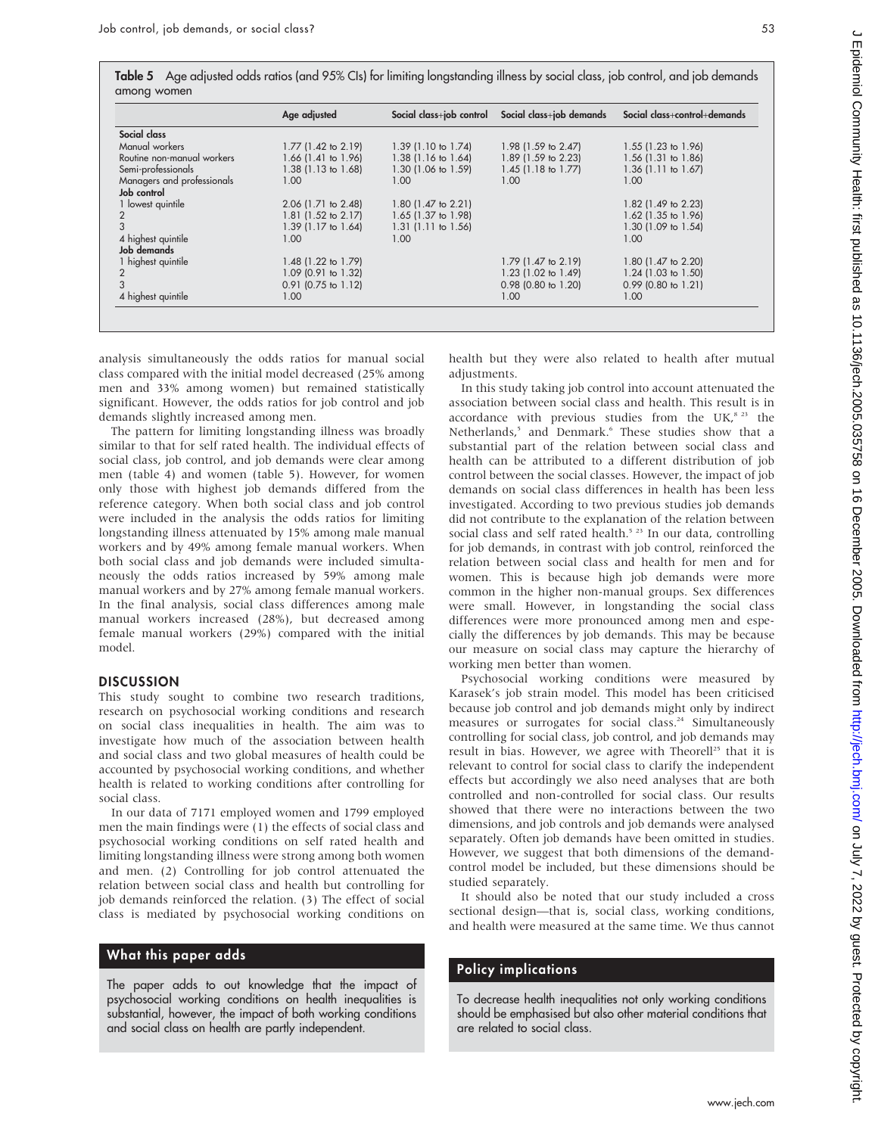Table 5 Age adjusted odds ratios (and 95% CIs) for limiting longstanding illness by social class, job control, and job demands among women

|                            | Age adjusted          |                               | Social class+job control Social class+job demands | Social class+control+demands |
|----------------------------|-----------------------|-------------------------------|---------------------------------------------------|------------------------------|
| Social class               |                       |                               |                                                   |                              |
| Manual workers             | 1.77 (1.42 to 2.19)   | $1.39(1.10 \text{ to } 1.74)$ | 1.98 (1.59 to 2.47)                               | 1.55 (1.23 to 1.96)          |
| Routine non-manual workers | $1.66$ (1.41 to 1.96) | $1.38(1.16 \text{ to } 1.64)$ | 1.89 (1.59 to 2.23)                               | 1.56 (1.31 to 1.86)          |
| Semi-professionals         | 1.38 (1.13 to 1.68)   | 1.30 (1.06 to 1.59)           | $1.45$ (1.18 to 1.77)                             | 1.36 (1.11 to 1.67)          |
| Managers and professionals | 1.00                  | 1.00                          | 1.00                                              | 1.00                         |
| Job control                |                       |                               |                                                   |                              |
| 1 lowest quintile          | 2.06 (1.71 to 2.48)   | 1.80 (1.47 to 2.21)           |                                                   | 1.82 (1.49 to 2.23)          |
| 2                          | 1.81 (1.52 to 2.17)   | 1.65 (1.37 to 1.98)           |                                                   | 1.62 (1.35 to 1.96)          |
| 3                          | 1.39 (1.17 to 1.64)   | $1.31$ (1.11 to 1.56)         |                                                   | 1.30 (1.09 to 1.54)          |
| 4 highest quintile         | 1.00                  | 1.00                          |                                                   | 1.00                         |
| Job demands                |                       |                               |                                                   |                              |
| 1 highest quintile         | 1.48 (1.22 to 1.79)   |                               | 1.79 (1.47 to 2.19)                               | 1.80 (1.47 to 2.20)          |
| $\overline{2}$             | 1.09 (0.91 to 1.32)   |                               | 1.23 (1.02 to 1.49)                               | 1.24 (1.03 to 1.50)          |
| 3                          | $0.91$ (0.75 to 1.12) |                               | $0.98$ (0.80 to 1.20)                             | $0.99$ (0.80 to 1.21)        |
| 4 highest quintile         | 1.00                  |                               | 1.00                                              | 1.00                         |

analysis simultaneously the odds ratios for manual social class compared with the initial model decreased (25% among men and 33% among women) but remained statistically significant. However, the odds ratios for job control and job demands slightly increased among men.

The pattern for limiting longstanding illness was broadly similar to that for self rated health. The individual effects of social class, job control, and job demands were clear among men (table 4) and women (table 5). However, for women only those with highest job demands differed from the reference category. When both social class and job control were included in the analysis the odds ratios for limiting longstanding illness attenuated by 15% among male manual workers and by 49% among female manual workers. When both social class and job demands were included simultaneously the odds ratios increased by 59% among male manual workers and by 27% among female manual workers. In the final analysis, social class differences among male manual workers increased (28%), but decreased among female manual workers (29%) compared with the initial model.

#### **DISCUSSION**

This study sought to combine two research traditions, research on psychosocial working conditions and research on social class inequalities in health. The aim was to investigate how much of the association between health and social class and two global measures of health could be accounted by psychosocial working conditions, and whether health is related to working conditions after controlling for social class.

In our data of 7171 employed women and 1799 employed men the main findings were (1) the effects of social class and psychosocial working conditions on self rated health and limiting longstanding illness were strong among both women and men. (2) Controlling for job control attenuated the relation between social class and health but controlling for job demands reinforced the relation. (3) The effect of social class is mediated by psychosocial working conditions on

### What this paper adds

The paper adds to out knowledge that the impact of psychosocial working conditions on health inequalities is substantial, however, the impact of both working conditions and social class on health are partly independent.

health but they were also related to health after mutual adjustments.

In this study taking job control into account attenuated the association between social class and health. This result is in accordance with previous studies from the UK, $s$ <sup>23</sup> the Netherlands,<sup>5</sup> and Denmark.<sup>6</sup> These studies show that a substantial part of the relation between social class and health can be attributed to a different distribution of job control between the social classes. However, the impact of job demands on social class differences in health has been less investigated. According to two previous studies job demands did not contribute to the explanation of the relation between social class and self rated health.<sup>5 23</sup> In our data, controlling for job demands, in contrast with job control, reinforced the relation between social class and health for men and for women. This is because high job demands were more common in the higher non-manual groups. Sex differences were small. However, in longstanding the social class differences were more pronounced among men and especially the differences by job demands. This may be because our measure on social class may capture the hierarchy of working men better than women.

Psychosocial working conditions were measured by Karasek's job strain model. This model has been criticised because job control and job demands might only by indirect measures or surrogates for social class.<sup>24</sup> Simultaneously controlling for social class, job control, and job demands may result in bias. However, we agree with Theorell<sup>25</sup> that it is relevant to control for social class to clarify the independent effects but accordingly we also need analyses that are both controlled and non-controlled for social class. Our results showed that there were no interactions between the two dimensions, and job controls and job demands were analysed separately. Often job demands have been omitted in studies. However, we suggest that both dimensions of the demandcontrol model be included, but these dimensions should be studied separately.

It should also be noted that our study included a cross sectional design—that is, social class, working conditions, and health were measured at the same time. We thus cannot

# Policy implications

To decrease health inequalities not only working conditions should be emphasised but also other material conditions that are related to social class.